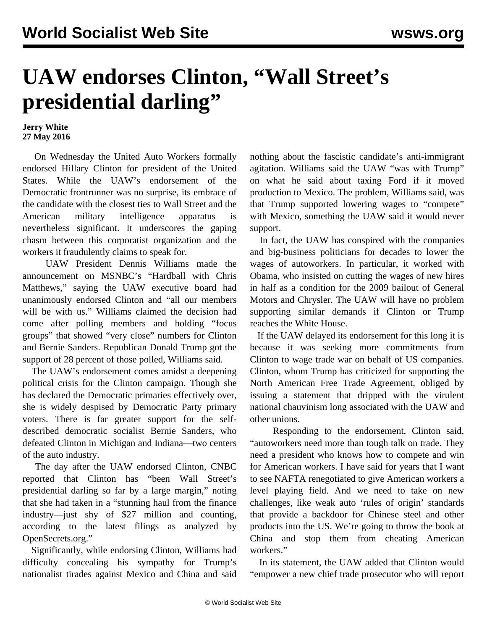## **UAW endorses Clinton, "Wall Street's presidential darling"**

**Jerry White 27 May 2016**

 On Wednesday the United Auto Workers formally endorsed Hillary Clinton for president of the United States. While the UAW's endorsement of the Democratic frontrunner was no surprise, its embrace of the candidate with the closest ties to Wall Street and the American military intelligence apparatus is nevertheless significant. It underscores the gaping chasm between this corporatist organization and the workers it fraudulently claims to speak for.

 UAW President Dennis Williams made the announcement on MSNBC's "Hardball with Chris Matthews," saying the UAW executive board had unanimously endorsed Clinton and "all our members will be with us." Williams claimed the decision had come after polling members and holding "focus groups" that showed "very close" numbers for Clinton and Bernie Sanders. Republican Donald Trump got the support of 28 percent of those polled, Williams said.

 The UAW's endorsement comes amidst a deepening political crisis for the Clinton campaign. Though she has declared the Democratic primaries effectively over, she is widely despised by Democratic Party primary voters. There is far greater support for the selfdescribed democratic socialist Bernie Sanders, who defeated Clinton in Michigan and Indiana—two centers of the auto industry.

 The day after the UAW endorsed Clinton, CNBC reported that Clinton has "been Wall Street's presidential darling so far by a large margin," noting that she had taken in a "stunning haul from the finance industry—just shy of \$27 million and counting, according to the latest filings as analyzed by OpenSecrets.org."

 Significantly, while endorsing Clinton, Williams had difficulty concealing his sympathy for Trump's nationalist tirades against Mexico and China and said nothing about the fascistic candidate's anti-immigrant agitation. Williams said the UAW "was with Trump" on what he said about taxing Ford if it moved production to Mexico. The problem, Williams said, was that Trump supported lowering wages to "compete" with Mexico, something the UAW said it would never support.

 In fact, the UAW has conspired with the companies and big-business politicians for decades to lower the wages of autoworkers. In particular, it worked with Obama, who insisted on cutting the wages of new hires in half as a condition for the 2009 bailout of General Motors and Chrysler. The UAW will have no problem supporting similar demands if Clinton or Trump reaches the White House.

 If the UAW delayed its endorsement for this long it is because it was seeking more commitments from Clinton to wage trade war on behalf of US companies. Clinton, whom Trump has criticized for supporting the North American Free Trade Agreement, obliged by issuing a statement that dripped with the virulent national chauvinism long associated with the UAW and other unions.

 Responding to the endorsement, Clinton said, "autoworkers need more than tough talk on trade. They need a president who knows how to compete and win for American workers. I have said for years that I want to see NAFTA renegotiated to give American workers a level playing field. And we need to take on new challenges, like weak auto 'rules of origin' standards that provide a backdoor for Chinese steel and other products into the US. We're going to throw the book at China and stop them from cheating American workers."

 In its statement, the UAW added that Clinton would "empower a new chief trade prosecutor who will report